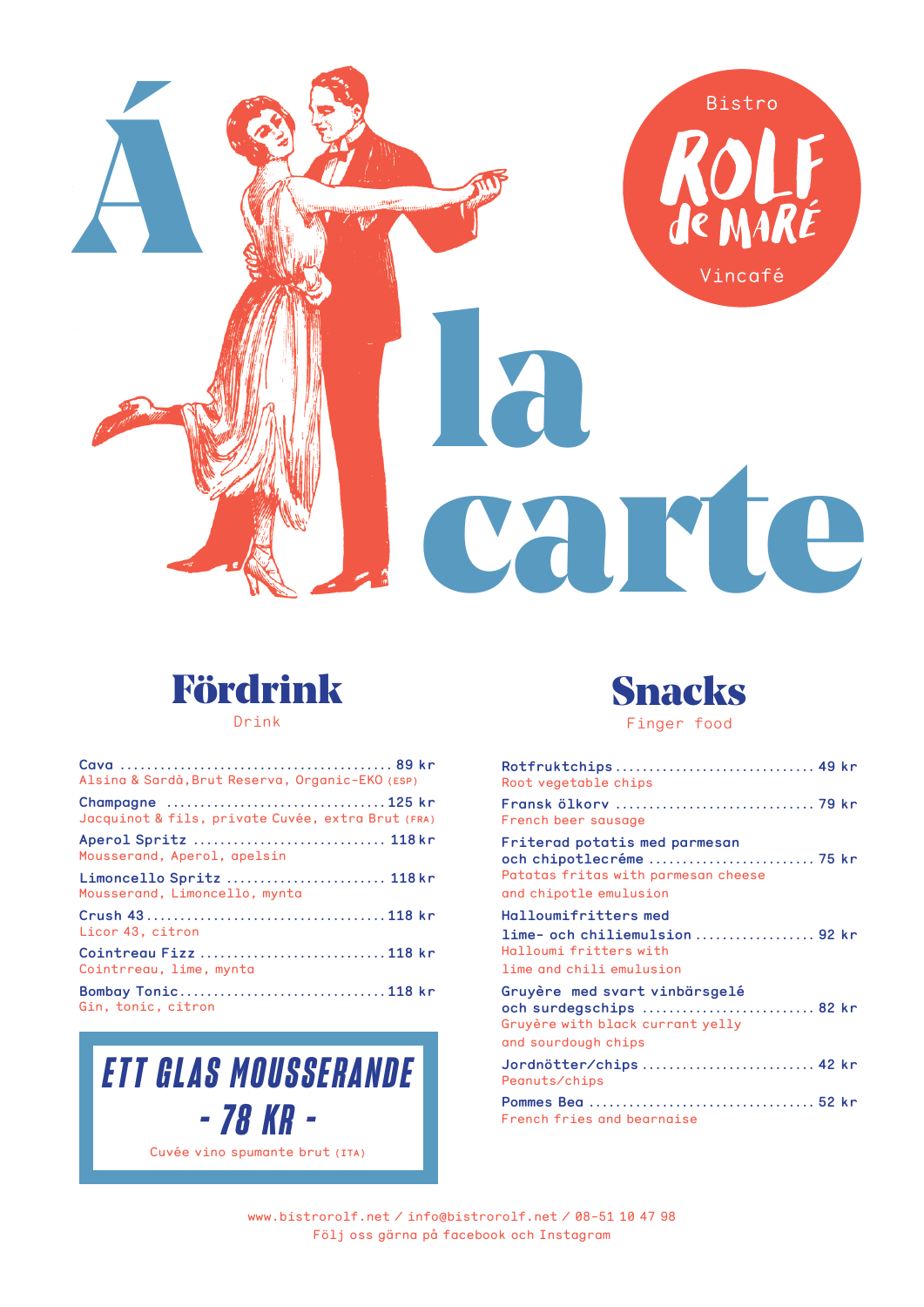



Drink

| Alsina & Sardà, Brut Reserva, Organic-EKO (ESP)           |
|-----------------------------------------------------------|
| Jacquinot & fils, private Cuvée, extra Brut (FRA)         |
| Aperol Spritz  118kr<br>Mousserand, Aperol, apelsin       |
| Limoncello Spritz  118kr<br>Mousserand, Limoncello, mynta |
| Licor 43, citron                                          |
| Cointreau Fizz 118 kr<br>Cointrreau, lime, mynta          |
| Bombay Tonic118 kr<br>Gin, tonic, citron                  |





| Rotfruktchips 49 kr<br>Root vegetable chips                                                                                |
|----------------------------------------------------------------------------------------------------------------------------|
| French beer sausage                                                                                                        |
| Friterad potatis med parmesan<br>och chipotlecréme  75 kr<br>Patatas fritas with parmesan cheese<br>and chipotle emulusion |
| <b>Halloumifritters med</b>                                                                                                |
| lime- och chiliemulsion  92 kr<br>Halloumi fritters with                                                                   |
| lime and chili emulusion                                                                                                   |
| Gruyère med svart vinbärsgelé<br>och surdegschips  82 kr<br>Gruyère with black currant yelly<br>and sourdough chips        |
| Jordnötter/chips  42 kr<br>Peanuts/chips                                                                                   |
| French fries and bearnaise                                                                                                 |

www.bistrorolf.net/info@bistrorolf.net/08-51 10 47 98 Följ oss gärna på facebook och Instagram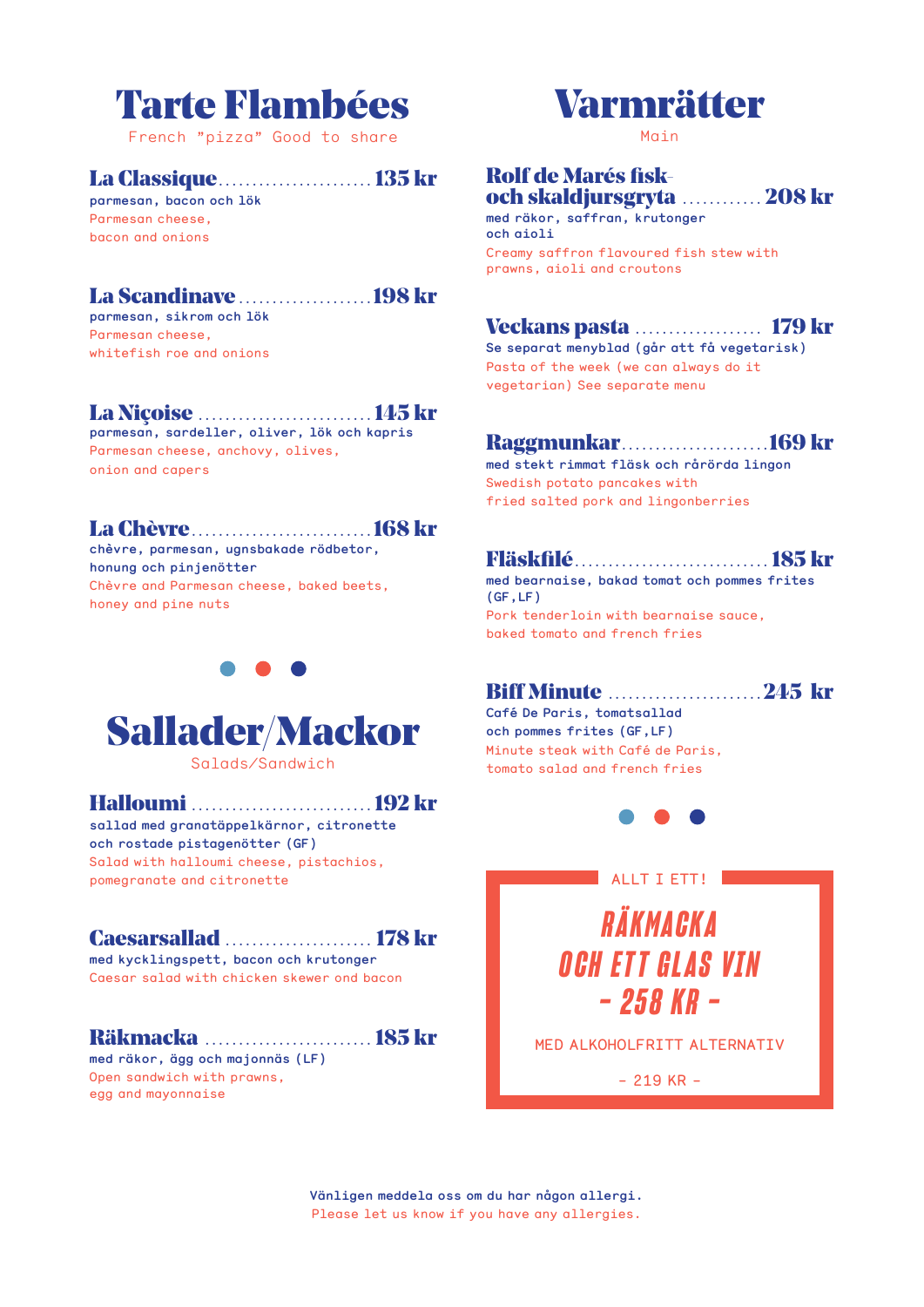

French "pizza" Good to share

# **La Classique**.......................... 135 kr

parmesan, bacon och lök Parmesan cheese. hacon and onione

# 

parmesan, sikrom och lök Parmesan cheese. whitefish roe and onions

## La Niçoise ............................. 145 kr

parmesan, sardeller, oliver, lök och kapris Parmesan cheese, anchovy, olives, onion and capers

### **La Chèvre manual de la constant de la Chèvre de la constant de la constant de la constant de la constant de l**

chèvre, parmesan, ugnsbakade rödbetor, honung och pinjenötter Chèvre and Parmesan cheese, baked beets, honey and pine nuts



Salads/Sandwich

Halloumi .................................. 192 kr

sallad med granatäppelkärnor, citronette och rostade pistagenötter (GF) Salad with halloumi cheese, pistachios,

# pomegranate and citronette

# **Caesarsallad** ....................... 178 kr

med kycklingspett, bacon och krutonger Caesar salad with chicken skewer ond bacon

# Räkmacka *.........................*... 185 kr

med räkor, ägg och majonnäs (LF) Open sandwich with prawns, egg and mayonnaise

# **Varmrätter**

 $M$  $O$  $i$  $n$ 

### **Rolf de Marés fisk**och skaldjursgryta ............. 208 kr

med räkor, saffran, krutonger och gioli

Creamy saffron flavoured fish stew with prawns, aioli and croutons

# **Veckans pasta .................... 179 kr**

Se separat menyblad (går att få vegetarisk) Pasta of the week (we can always do it vegetarian) See separate menu

# 

med stekt rimmat fläsk och rårörda lingon Swedish potato pancakes with fried salted pork and lingonberries

## 

med bearnaise, bakad tomat och pommes frites  $(GF,LF)$ Pork tenderloin with bearnaise sauce. baked tomato and french fries

# **Biff Minute ..........................245 kr**

Café De Paris, tomatsallad och pommes frites (GF.LF) Minute steak with Café de Paris, tomato salad and french fries



# ALLT T FTTL RÄKMACKA **OCH FTT GLAS VTN - 258 KR -**

MED ALKOHOLFRITT ALTERNATIV

 $-219$  KR  $-$ 

Vänligen meddela oss om du har någon allergi. Please let us know if you have any allergies.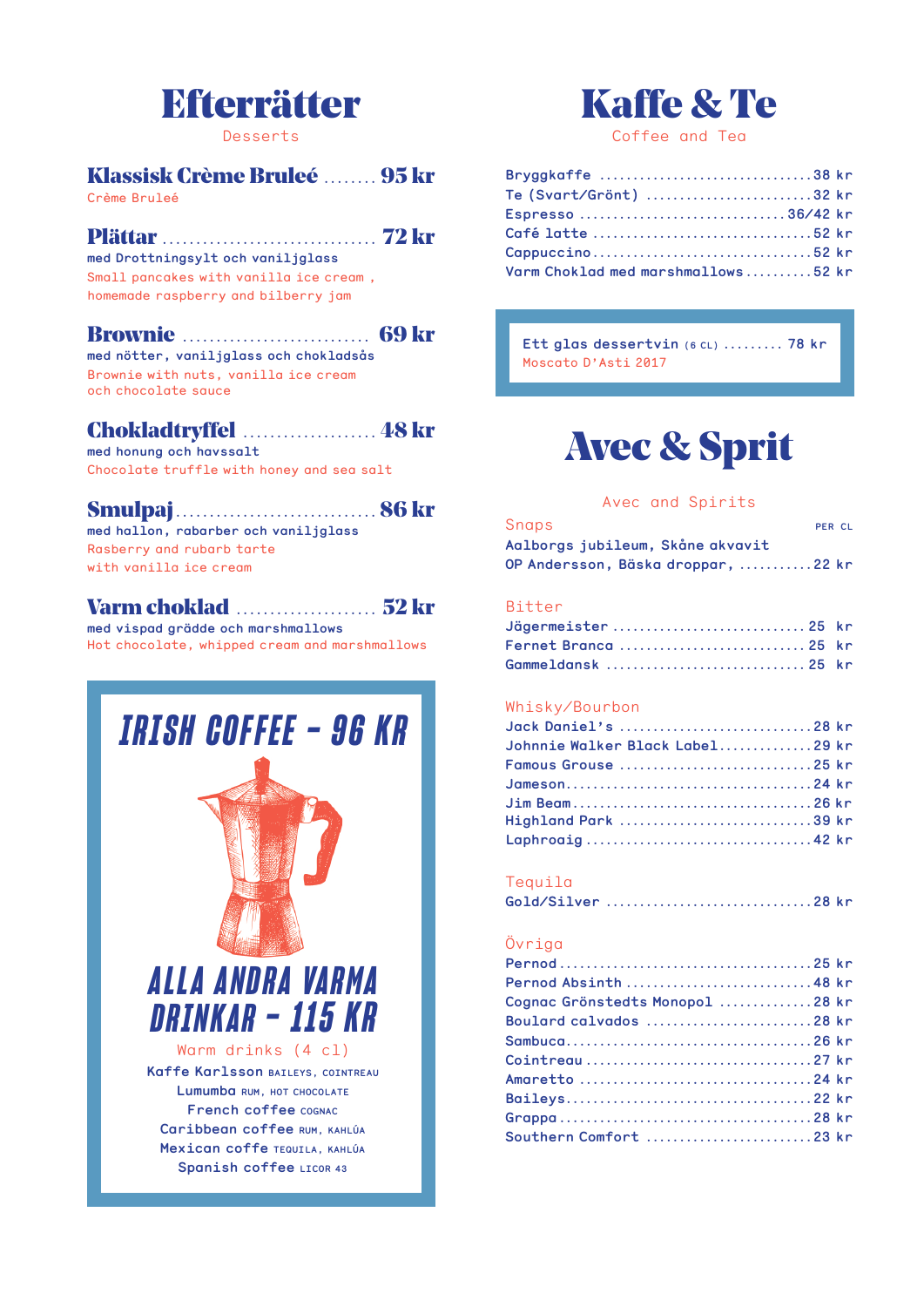# **Efterrätter**

Desserts

# Klassisk Crème Bruleé ......... 95 kr

Crème Bruleé

### 

med Drottningsylt och vaniljglass Small pancakes with vanilla ice cream, homemade raspberry and bilberry jam

### 

med nötter, vaniljglass och chokladsås Brownie with nuts, vanilla ice cream och chocolate sauce

# **Chokladtryffel manufacturers** 48 kr

med honung och havssalt Chocolate truffle with honey and sea salt

### 

med hallon, rabarber och vaniljglass Rasberry and rubarb tarte with vanilla ice cream

## 

med vispad arädde och marshmallows Hot chocolate, whipped cream and marshmallows

# **IRISH COFFEE - 96 KR**

# ALLA ANDRA VARMA DRINKAR - 115 KR

Warm drinks (4 cl) Kaffe Karlsson BAILEYS, COINTREAU Lumumba RUM, HOT CHOCOLATE French coffee COGNAC Caribbean coffee RUM, KAHLÚA Mexican coffe TEQUILA, KAHLÚA Spanish coffee LICOR 43

# **Kaffe & Te**

Coffee and Tea

| Bryggkaffe 38 kr                   |  |
|------------------------------------|--|
| Te (Svart/Grönt) 32 kr             |  |
| Espresso 36/42 kr                  |  |
|                                    |  |
|                                    |  |
| Varm Choklad med marshmallows52 kr |  |

Ett glas dessertvin (6 CL) ......... 78 kr Moscato D'Asti 2017

# **Avec & Sprit**

#### Avec and Spirits

| Snaps                              | PER CL |  |
|------------------------------------|--------|--|
| Aalborgs jubileum, Skåne akvavit   |        |  |
| OP Andersson, Bäska droppar, 22 kr |        |  |

#### **Bitter**

| Jägermeister  25 kr  |  |
|----------------------|--|
| Fernet Branca  25 kr |  |
|                      |  |

### Whisky/Bourbon

| Johnnie Walker Black Label29 kr |  |
|---------------------------------|--|
|                                 |  |
|                                 |  |
|                                 |  |
| Highland Park 39 kr             |  |
|                                 |  |

### Tequila

| Gold/Silver 28 kr |  |
|-------------------|--|
|                   |  |

### Övriga

| Cognac Grönstedts Monopol 28 kr |  |
|---------------------------------|--|
| Boulard calvados 28 kr          |  |
|                                 |  |
|                                 |  |
|                                 |  |
|                                 |  |
|                                 |  |
| Southern Comfort 23 kr          |  |